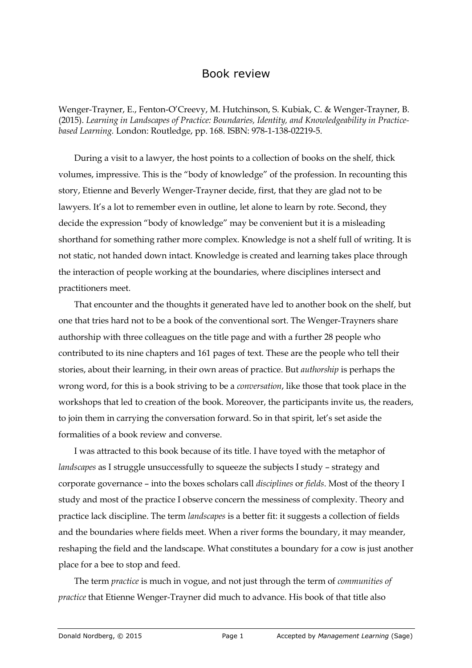## Book review

Wenger-Trayner, E., Fenton-O'Creevy, M. Hutchinson, S. Kubiak, C. & Wenger-Trayner, B. (2015). Learning in Landscapes of Practice: Boundaries, Identity, and Knowledgeability in Practicebased Learning. London: Routledge, pp. 168. ISBN: 978-1-138-02219-5.

During a visit to a lawyer, the host points to a collection of books on the shelf, thick volumes, impressive. This is the "body of knowledge" of the profession. In recounting this story, Etienne and Beverly Wenger-Trayner decide, first, that they are glad not to be lawyers. It's a lot to remember even in outline, let alone to learn by rote. Second, they decide the expression "body of knowledge" may be convenient but it is a misleading shorthand for something rather more complex. Knowledge is not a shelf full of writing. It is not static, not handed down intact. Knowledge is created and learning takes place through the interaction of people working at the boundaries, where disciplines intersect and practitioners meet.

That encounter and the thoughts it generated have led to another book on the shelf, but one that tries hard not to be a book of the conventional sort. The Wenger-Trayners share authorship with three colleagues on the title page and with a further 28 people who contributed to its nine chapters and 161 pages of text. These are the people who tell their stories, about their learning, in their own areas of practice. But authorship is perhaps the wrong word, for this is a book striving to be a conversation, like those that took place in the workshops that led to creation of the book. Moreover, the participants invite us, the readers, to join them in carrying the conversation forward. So in that spirit, let's set aside the formalities of a book review and converse.

I was attracted to this book because of its title. I have toyed with the metaphor of landscapes as I struggle unsuccessfully to squeeze the subjects I study – strategy and corporate governance – into the boxes scholars call disciplines or fields. Most of the theory I study and most of the practice I observe concern the messiness of complexity. Theory and practice lack discipline. The term landscapes is a better fit: it suggests a collection of fields and the boundaries where fields meet. When a river forms the boundary, it may meander, reshaping the field and the landscape. What constitutes a boundary for a cow is just another place for a bee to stop and feed.

The term *practice* is much in vogue, and not just through the term of *communities* of practice that Etienne Wenger-Trayner did much to advance. His book of that title also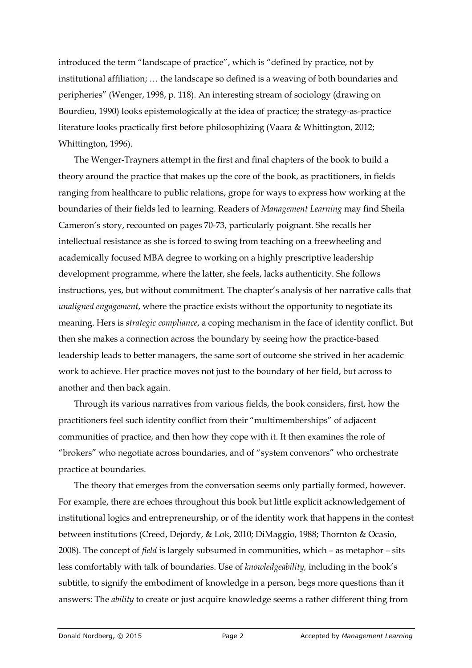introduced the term "landscape of practice", which is "defined by practice, not by institutional affiliation; … the landscape so defined is a weaving of both boundaries and peripheries" (Wenger, 1998, p. 118). An interesting stream of sociology (drawing on Bourdieu, 1990) looks epistemologically at the idea of practice; the strategy-as-practice literature looks practically first before philosophizing (Vaara & Whittington, 2012; Whittington, 1996).

The Wenger-Trayners attempt in the first and final chapters of the book to build a theory around the practice that makes up the core of the book, as practitioners, in fields ranging from healthcare to public relations, grope for ways to express how working at the boundaries of their fields led to learning. Readers of Management Learning may find Sheila Cameron's story, recounted on pages 70-73, particularly poignant. She recalls her intellectual resistance as she is forced to swing from teaching on a freewheeling and academically focused MBA degree to working on a highly prescriptive leadership development programme, where the latter, she feels, lacks authenticity. She follows instructions, yes, but without commitment. The chapter's analysis of her narrative calls that unaligned engagement, where the practice exists without the opportunity to negotiate its meaning. Hers is strategic compliance, a coping mechanism in the face of identity conflict. But then she makes a connection across the boundary by seeing how the practice-based leadership leads to better managers, the same sort of outcome she strived in her academic work to achieve. Her practice moves not just to the boundary of her field, but across to another and then back again.

Through its various narratives from various fields, the book considers, first, how the practitioners feel such identity conflict from their "multimemberships" of adjacent communities of practice, and then how they cope with it. It then examines the role of "brokers" who negotiate across boundaries, and of "system convenors" who orchestrate practice at boundaries.

The theory that emerges from the conversation seems only partially formed, however. For example, there are echoes throughout this book but little explicit acknowledgement of institutional logics and entrepreneurship, or of the identity work that happens in the contest between institutions (Creed, Dejordy, & Lok, 2010; DiMaggio, 1988; Thornton & Ocasio, 2008). The concept of field is largely subsumed in communities, which – as metaphor – sits less comfortably with talk of boundaries. Use of knowledgeability, including in the book's subtitle, to signify the embodiment of knowledge in a person, begs more questions than it answers: The ability to create or just acquire knowledge seems a rather different thing from